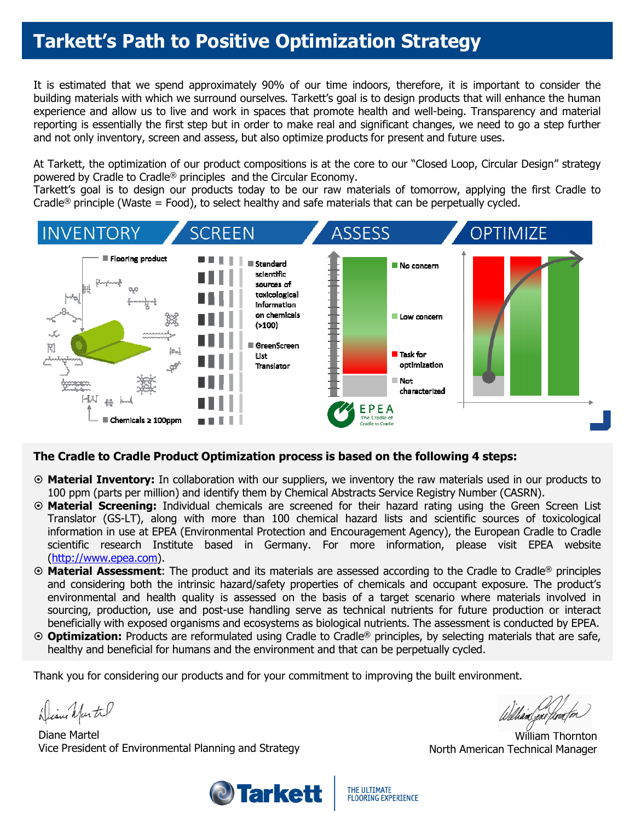## **Tarkett's Path to Positive Optimization Strategy**

It is estimated that we spend approximately 90% of our time indoors, therefore, it is important to consider the building materials with which we surround ourselves. Tarkett's goal is to design products that will enhance the human experience and allow us to live and work in spaces that promote health and well-being. Transparency and material reporting is essentially the first step but in order to make real and significant changes, we need to go a step further and not only inventory, screen and assess, but also optimize products for present and future uses.

At Tarkett, the optimization of our product compositions is at the core to our "Closed Loop, Circular Design" strategy powered by Cradle to Cradle® principles and the Circular Economy.

Tarkett's goal is to design our products today to be our raw materials of tomorrow, applying the first Cradle to Cradle<sup>®</sup> principle (Waste = Food), to select healthy and safe materials that can be perpetually cycled.



### **The Cradle to Cradle Product Optimization process is based on the following 4 steps:**

- **Material Inventory:** In collaboration with our suppliers, we inventory the raw materials used in our products to 100 ppm (parts per million) and identify them by Chemical Abstracts Service Registry Number (CASRN).
- **Material Screening:** Individual chemicals are screened for their hazard rating using the Green Screen List Translator (GS-LT), along with more than 100 chemical hazard lists and scientific sources of toxicological information in use at EPEA (Environmental Protection and Encouragement Agency), the European Cradle to Cradle scientific research Institute based in Germany. For more information, please visit EPEA website (http://www.epea.com).
- **Material Assessment**: The product and its materials are assessed according to the Cradle to Cradle® principles and considering both the intrinsic hazard/safety properties of chemicals and occupant exposure. The product's environmental and health quality is assessed on the basis of a target scenario where materials involved in sourcing, production, use and post-use handling serve as technical nutrients for future production or interact beneficially with exposed organisms and ecosystems as biological nutrients. The assessment is conducted by EPEA.
- **Optimization:** Products are reformulated using Cradle to Cradle® principles, by selecting materials that are safe, healthy and beneficial for humans and the environment and that can be perpetually cycled.

Thank you for considering our products and for your commitment to improving the built environment.

Diene Martil

Diane Martel Vice President of Environmental Planning and Strategy



hand,ene floor

William Thornton North American Technical Manager

THE ULTIMATE **FLOORING EXPERIENCE**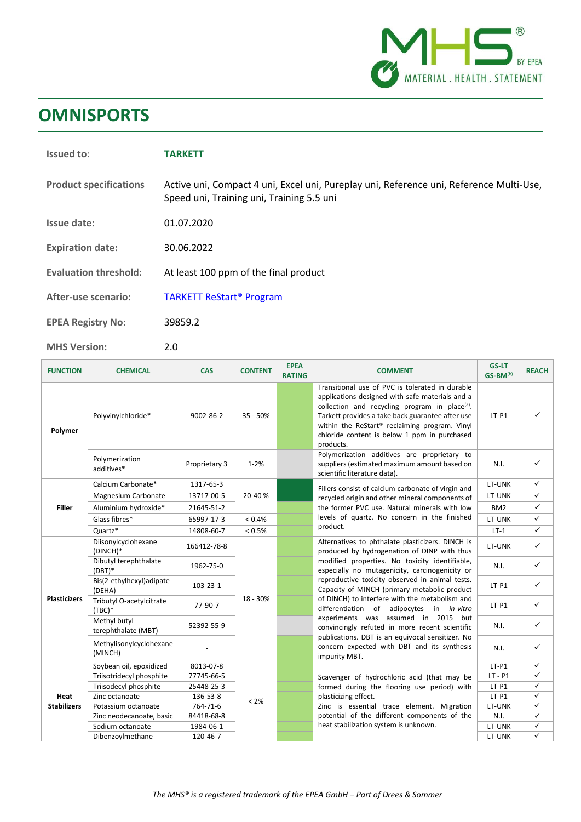

## **OMNISPORTS**

| <b>Issued to:</b>             | <b>TARKETT</b>                                                                                                                       |
|-------------------------------|--------------------------------------------------------------------------------------------------------------------------------------|
| <b>Product specifications</b> | Active uni, Compact 4 uni, Excel uni, Pureplay uni, Reference uni, Reference Multi-Use,<br>Speed uni, Training uni, Training 5.5 uni |
| Issue date:                   | 01.07.2020                                                                                                                           |
| <b>Expiration date:</b>       | 30.06.2022                                                                                                                           |
| <b>Evaluation threshold:</b>  | At least 100 ppm of the final product                                                                                                |
| <b>After-use scenario:</b>    | <b>TARKETT ReStart<sup>®</sup> Program</b>                                                                                           |
| <b>EPEA Registry No:</b>      | 39859.2                                                                                                                              |
| <b>MHS Version:</b>           | 2.0                                                                                                                                  |

| <b>FUNCTION</b>     | <b>CHEMICAL</b>                      | <b>CAS</b>     | <b>CONTENT</b> | <b>EPEA</b><br><b>RATING</b> | <b>COMMENT</b>                                                                                                                                                                                                                                                                                                                                                                                                                                                                                                                                                                                                     | <b>GS-LT</b><br>GS-BM(b) | <b>REACH</b> |
|---------------------|--------------------------------------|----------------|----------------|------------------------------|--------------------------------------------------------------------------------------------------------------------------------------------------------------------------------------------------------------------------------------------------------------------------------------------------------------------------------------------------------------------------------------------------------------------------------------------------------------------------------------------------------------------------------------------------------------------------------------------------------------------|--------------------------|--------------|
| Polymer             | Polyvinylchloride*                   | 9002-86-2      | $35 - 50%$     |                              | Transitional use of PVC is tolerated in durable<br>applications designed with safe materials and a<br>collection and recycling program in place <sup>(a)</sup> .<br>Tarkett provides a take back guarantee after use<br>within the ReStart® reclaiming program. Vinyl<br>chloride content is below 1 ppm in purchased<br>products.                                                                                                                                                                                                                                                                                 | $LT-P1$                  | ✓            |
|                     | Polymerization<br>additives*         | Proprietary 3  | $1 - 2%$       |                              | Polymerization additives are proprietary to<br>suppliers (estimated maximum amount based on<br>scientific literature data).                                                                                                                                                                                                                                                                                                                                                                                                                                                                                        | N.I.                     | $\checkmark$ |
|                     | Calcium Carbonate*                   | 1317-65-3      |                |                              | Fillers consist of calcium carbonate of virgin and                                                                                                                                                                                                                                                                                                                                                                                                                                                                                                                                                                 | LT-UNK                   | $\checkmark$ |
|                     | Magnesium Carbonate                  | 13717-00-5     | 20-40%         |                              | recycled origin and other mineral components of<br>the former PVC use. Natural minerals with low<br>levels of quartz. No concern in the finished                                                                                                                                                                                                                                                                                                                                                                                                                                                                   | LT-UNK                   | $\checkmark$ |
| <b>Filler</b>       | Aluminium hydroxide*                 | 21645-51-2     |                |                              |                                                                                                                                                                                                                                                                                                                                                                                                                                                                                                                                                                                                                    | BM <sub>2</sub>          | $\checkmark$ |
|                     | Glass fibres*                        | 65997-17-3     | < 0.4%         |                              |                                                                                                                                                                                                                                                                                                                                                                                                                                                                                                                                                                                                                    | LT-UNK                   | $\checkmark$ |
|                     | Quartz*                              | 14808-60-7     | < 0.5%         |                              | product.                                                                                                                                                                                                                                                                                                                                                                                                                                                                                                                                                                                                           | $LT-1$                   | $\checkmark$ |
| <b>Plasticizers</b> | Diisonylcyclohexane<br>$(DINCH)*$    | 166412-78-8    |                |                              | Alternatives to phthalate plasticizers. DINCH is<br>produced by hydrogenation of DINP with thus<br>modified properties. No toxicity identifiable,<br>especially no mutagenicity, carcinogenicity or<br>reproductive toxicity observed in animal tests.<br>Capacity of MINCH (primary metabolic product<br>of DINCH) to interfere with the metabolism and<br>differentiation of adipocytes in in-vitro<br>experiments was assumed in 2015 but<br>convincingly refuted in more recent scientific<br>publications. DBT is an equivocal sensitizer. No<br>concern expected with DBT and its synthesis<br>impurity MBT. | LT-UNK                   | $\checkmark$ |
|                     | Dibutyl terephthalate<br>$(DBT)*$    | 1962-75-0      |                |                              |                                                                                                                                                                                                                                                                                                                                                                                                                                                                                                                                                                                                                    | N.I.                     | $\checkmark$ |
|                     | Bis(2-ethylhexyl)adipate<br>(DEHA)   | $103 - 23 - 1$ |                |                              |                                                                                                                                                                                                                                                                                                                                                                                                                                                                                                                                                                                                                    | $LT-P1$                  | $\checkmark$ |
|                     | Tributyl O-acetylcitrate<br>$(TBC)*$ | 77-90-7        | 18 - 30%       |                              |                                                                                                                                                                                                                                                                                                                                                                                                                                                                                                                                                                                                                    | $LT-P1$                  | $\checkmark$ |
|                     | Methyl butyl<br>terephthalate (MBT)  | 52392-55-9     |                |                              |                                                                                                                                                                                                                                                                                                                                                                                                                                                                                                                                                                                                                    | N.I.                     | $\checkmark$ |
|                     | Methylisonylcyclohexane<br>(MINCH)   |                |                |                              |                                                                                                                                                                                                                                                                                                                                                                                                                                                                                                                                                                                                                    | N.I.                     | $\checkmark$ |
| Heat                | Soybean oil, epoxidized              | 8013-07-8      |                |                              |                                                                                                                                                                                                                                                                                                                                                                                                                                                                                                                                                                                                                    | $LT-P1$                  | $\checkmark$ |
|                     | Triisotridecyl phosphite             | 77745-66-5     |                |                              | Scavenger of hydrochloric acid (that may be                                                                                                                                                                                                                                                                                                                                                                                                                                                                                                                                                                        | $LT - P1$                | $\checkmark$ |
|                     | Triisodecyl phosphite                | 25448-25-3     | < 2%           |                              | formed during the flooring use period) with                                                                                                                                                                                                                                                                                                                                                                                                                                                                                                                                                                        | $LT-P1$                  | ✓            |
|                     | Zinc octanoate                       | 136-53-8       |                |                              | plasticizing effect.                                                                                                                                                                                                                                                                                                                                                                                                                                                                                                                                                                                               | $LT-P1$                  | $\checkmark$ |
| <b>Stabilizers</b>  | Potassium octanoate                  | 764-71-6       |                |                              | Zinc is essential trace element. Migration                                                                                                                                                                                                                                                                                                                                                                                                                                                                                                                                                                         | LT-UNK                   | ✓            |
|                     | Zinc neodecanoate, basic             | 84418-68-8     |                |                              | potential of the different components of the                                                                                                                                                                                                                                                                                                                                                                                                                                                                                                                                                                       | N.I.                     | ✓            |
|                     | Sodium octanoate                     | 1984-06-1      |                |                              | heat stabilization system is unknown.                                                                                                                                                                                                                                                                                                                                                                                                                                                                                                                                                                              | LT-UNK                   | $\checkmark$ |
|                     | Dibenzoylmethane                     | 120-46-7       |                |                              |                                                                                                                                                                                                                                                                                                                                                                                                                                                                                                                                                                                                                    | LT-UNK                   | ✓            |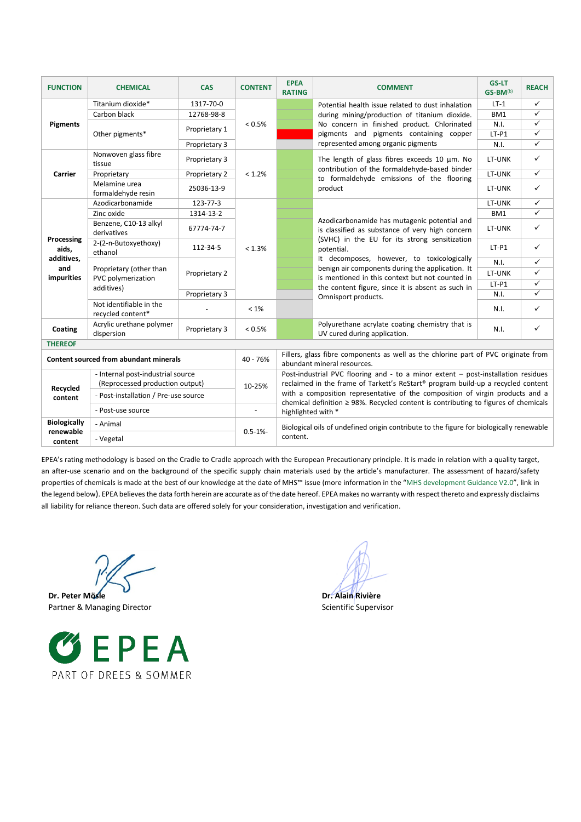| <b>FUNCTION</b>                        | <b>CHEMICAL</b>                                             | <b>CAS</b>    | <b>CONTENT</b> | <b>EPEA</b><br><b>RATING</b>                                                                                                                                                                    | <b>COMMENT</b>                                                                                                                                                                                                                                                                                                                                                                                  | <b>GS-LT</b><br>$GS-BM^{(b)}$ | <b>REACH</b> |
|----------------------------------------|-------------------------------------------------------------|---------------|----------------|-------------------------------------------------------------------------------------------------------------------------------------------------------------------------------------------------|-------------------------------------------------------------------------------------------------------------------------------------------------------------------------------------------------------------------------------------------------------------------------------------------------------------------------------------------------------------------------------------------------|-------------------------------|--------------|
| <b>Pigments</b>                        | Titanium dioxide*                                           | 1317-70-0     | < 0.5%         |                                                                                                                                                                                                 | Potential health issue related to dust inhalation<br>during mining/production of titanium dioxide.                                                                                                                                                                                                                                                                                              | $LT-1$                        | ✓            |
|                                        | Carbon black                                                | 12768-98-8    |                |                                                                                                                                                                                                 |                                                                                                                                                                                                                                                                                                                                                                                                 | BM1                           | ✓            |
|                                        | Other pigments*                                             | Proprietary 1 |                |                                                                                                                                                                                                 | No concern in finished product. Chlorinated                                                                                                                                                                                                                                                                                                                                                     | N.I.                          | ✓            |
|                                        |                                                             |               |                |                                                                                                                                                                                                 | pigments and pigments containing copper<br>represented among organic pigments                                                                                                                                                                                                                                                                                                                   | $LT-P1$                       | $\checkmark$ |
|                                        |                                                             | Proprietary 3 |                |                                                                                                                                                                                                 |                                                                                                                                                                                                                                                                                                                                                                                                 | N.I.                          | $\checkmark$ |
| Carrier                                | Nonwoven glass fibre<br>tissue                              | Proprietary 3 | < 1.2%         |                                                                                                                                                                                                 | The length of glass fibres exceeds 10 $\mu$ m. No<br>contribution of the formaldehyde-based binder<br>to formaldehyde emissions of the flooring<br>product                                                                                                                                                                                                                                      | LT-UNK                        | $\checkmark$ |
|                                        | Proprietary                                                 | Proprietary 2 |                |                                                                                                                                                                                                 |                                                                                                                                                                                                                                                                                                                                                                                                 | LT-UNK                        | ✓            |
|                                        | Melamine urea<br>formaldehyde resin                         | 25036-13-9    |                |                                                                                                                                                                                                 |                                                                                                                                                                                                                                                                                                                                                                                                 | LT-UNK                        | ✓            |
|                                        | Azodicarbonamide                                            | 123-77-3      |                |                                                                                                                                                                                                 | Azodicarbonamide has mutagenic potential and<br>is classified as substance of very high concern<br>(SVHC) in the EU for its strong sensitization<br>potential.<br>It decomposes, however, to toxicologically<br>benign air components during the application. It<br>is mentioned in this context but not counted in<br>the content figure, since it is absent as such in<br>Omnisport products. | LT-UNK                        | ✓            |
|                                        | Zinc oxide                                                  | 1314-13-2     |                |                                                                                                                                                                                                 |                                                                                                                                                                                                                                                                                                                                                                                                 | BM1                           | ✓            |
| Processing<br>aids,                    | Benzene, C10-13 alkyl<br>derivatives                        | 67774-74-7    |                |                                                                                                                                                                                                 |                                                                                                                                                                                                                                                                                                                                                                                                 | LT-UNK                        | $\checkmark$ |
|                                        | 2-(2-n-Butoxyethoxy)<br>ethanol                             | 112-34-5      | < 1.3%         |                                                                                                                                                                                                 |                                                                                                                                                                                                                                                                                                                                                                                                 | $LT-P1$                       | ✓            |
| additives,                             | Proprietary (other than<br>PVC polymerization<br>additives) | Proprietary 2 |                |                                                                                                                                                                                                 |                                                                                                                                                                                                                                                                                                                                                                                                 | N.I.                          | ✓            |
| and<br><b>impurities</b>               |                                                             |               |                |                                                                                                                                                                                                 |                                                                                                                                                                                                                                                                                                                                                                                                 | LT-UNK                        | ✓            |
|                                        |                                                             |               |                |                                                                                                                                                                                                 |                                                                                                                                                                                                                                                                                                                                                                                                 | $LT-P1$                       | ✓            |
|                                        |                                                             | Proprietary 3 |                |                                                                                                                                                                                                 |                                                                                                                                                                                                                                                                                                                                                                                                 | N.I.                          | ✓            |
|                                        | Not identifiable in the<br>recycled content*                |               | $< 1\%$        |                                                                                                                                                                                                 |                                                                                                                                                                                                                                                                                                                                                                                                 | N.I.                          | ✓            |
| Coating                                | Acrylic urethane polymer<br>dispersion                      | Proprietary 3 | < 0.5%         |                                                                                                                                                                                                 | Polyurethane acrylate coating chemistry that is<br>UV cured during application.                                                                                                                                                                                                                                                                                                                 | N.I.                          | $\checkmark$ |
| <b>THEREOF</b>                         |                                                             |               |                |                                                                                                                                                                                                 |                                                                                                                                                                                                                                                                                                                                                                                                 |                               |              |
| Content sourced from abundant minerals |                                                             |               | $40 - 76%$     | Fillers, glass fibre components as well as the chlorine part of PVC originate from<br>abundant mineral resources.                                                                               |                                                                                                                                                                                                                                                                                                                                                                                                 |                               |              |
|                                        | - Internal post-industrial source                           |               |                | Post-industrial PVC flooring and - to a minor extent - post-installation residues                                                                                                               |                                                                                                                                                                                                                                                                                                                                                                                                 |                               |              |
|                                        | (Reprocessed production output)                             |               | 10-25%         | reclaimed in the frame of Tarkett's ReStart® program build-up a recycled content                                                                                                                |                                                                                                                                                                                                                                                                                                                                                                                                 |                               |              |
| Recycled<br>content                    | - Post-installation / Pre-use source                        |               |                | with a composition representative of the composition of virgin products and a<br>chemical definition $\geq$ 98%. Recycled content is contributing to figures of chemicals<br>highlighted with * |                                                                                                                                                                                                                                                                                                                                                                                                 |                               |              |
|                                        | - Post-use source                                           |               |                |                                                                                                                                                                                                 |                                                                                                                                                                                                                                                                                                                                                                                                 |                               |              |
| <b>Biologically</b>                    | - Animal                                                    |               |                |                                                                                                                                                                                                 | Biological oils of undefined origin contribute to the figure for biologically renewable                                                                                                                                                                                                                                                                                                         |                               |              |
| renewable<br>content                   | - Vegetal                                                   |               | $0.5 - 1% -$   | content.                                                                                                                                                                                        |                                                                                                                                                                                                                                                                                                                                                                                                 |                               |              |

EPEA's rating methodology is based on the Cradle to Cradle approach with the European Precautionary principle. It is made in relation with a quality target, an after-use scenario and on the background of the specific supply chain materials used by the article's manufacturer. The assessment of hazard/safety properties of chemicals is made at the best of our knowledge at the date of MHS™ issue (more information in the "MHS development Guidance V2.0", link in the legend below). EPEA believes the data forth herein are accurate as of the date hereof. EPEA makes no warranty with respect thereto and expressly disclaims all liability for reliance thereon. Such data are offered solely for your consideration, investigation and verification.

**Dr. Peter Mösle Dr. Alain Rivière** Partner & Managing Director Scientific Supervisor Scientific Supervisor

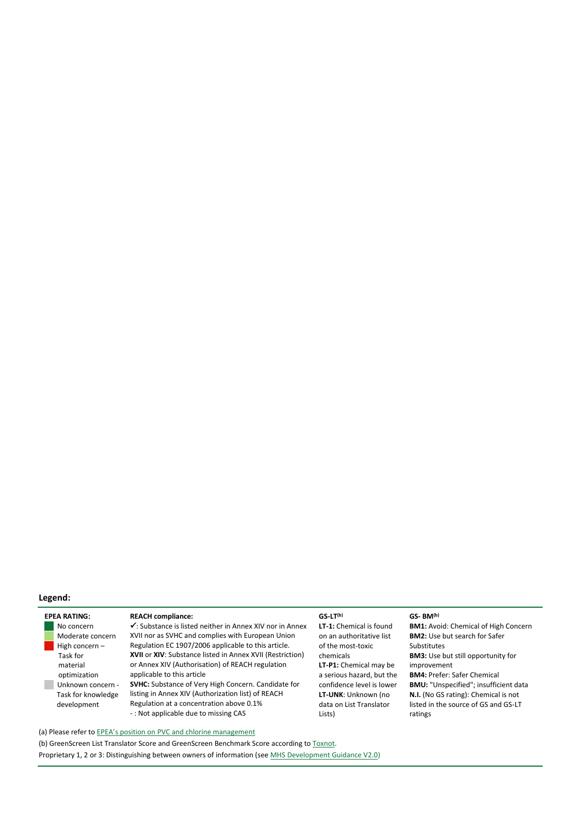### **Legend:**

| <b>FPFA RATING:</b> |
|---------------------|
| No concern          |
| Moderate concern    |
| High concern –      |
| Task for            |
| material            |
| optimization        |
| Unknown concern -   |
| Task for knowledge  |
| development         |
|                     |

### **EPEA REACH compliance: CS-LT<sup>(b)</sup> <b>GS-LT<sup>(b)</sup> GS-BM**<sup>(b)</sup>

✓: Substance is listed neither in Annex XIV nor in Annex XVII nor as SVHC and complies with European Union Regulation EC 1907/2006 applicable to this article. **XVII** or **XIV**: Substance listed in Annex XVII (Restriction) or Annex XIV (Authorisation) of REACH regulation applicable to this article **SVHC:** Substance of Very High Concern. Candidate for listing in Annex XIV (Authorization list) of REACH

Regulation at a concentration above 0.1% - : Not applicable due to missing CAS

**LT-1:** Chemical is found on an authoritative list of the most-toxic chemicals **LT-P1:** Chemical may be a serious hazard, but the confidence level is lower **LT-UNK**: Unknown (no data on List Translator Lists)

**BM1:** Avoid: Chemical of High Concern **BM2:** Use but search for Safer Substitutes **BM3:** Use but still opportunity for improvement **BM4:** Prefer: Safer Chemical **BMU:** "Unspecified"; insufficient data **N.I.** (No GS rating): Chemical is not listed in the source of GS and GS-LT ratings

(a) Please refer to **EPEA's position on PVC** and chlorine management

(b) GreenScreen List Translator Score and GreenScreen Benchmark Score according t[o Toxnot.](https://toxnot.com/) Proprietary 1, 2 or 3: Distinguishing between owners of information (se[e MHS Development Guidance V2.0\)](https://epea.com/fileadmin/user_upload/2.0_Leistungen/MHS_Guidance_document_V2.0___EPEA_2019.pdf)